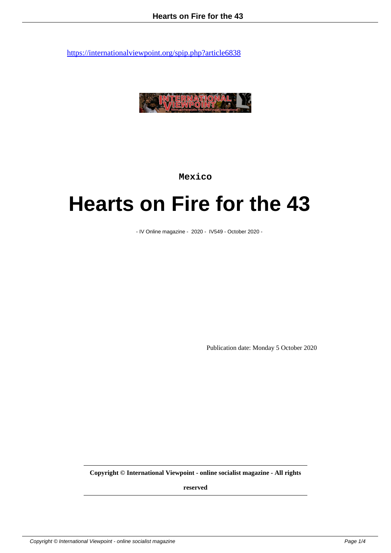

**Mexico**

## **Hearts on Fire for the 43**

- IV Online magazine - 2020 - IV549 - October 2020 -

Publication date: Monday 5 October 2020

**Copyright © International Viewpoint - online socialist magazine - All rights**

**reserved**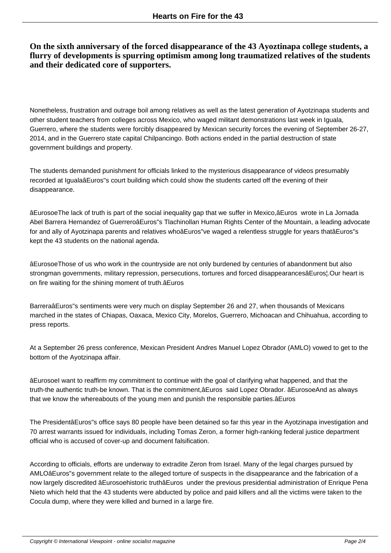## **On the sixth anniversary of the forced disappearance of the 43 Ayoztinapa college students, a flurry of developments is spurring optimism among long traumatized relatives of the students and their dedicated core of supporters.**

Nonetheless, frustration and outrage boil among relatives as well as the latest generation of Ayotzinapa students and other student teachers from colleges across Mexico, who waged militant demonstrations last week in Iguala, Guerrero, where the students were forcibly disappeared by Mexican security forces the evening of September 26-27, 2014, and in the Guerrero state capital Chilpancingo. Both actions ended in the partial destruction of state government buildings and property.

The students demanded punishment for officials linked to the mysterious disappearance of videos presumably recorded at IgualaâEuros"s court building which could show the students carted off the evening of their disappearance.

âEurosoeThe lack of truth is part of the social inequality gap that we suffer in Mexico,âEuros wrote in La Jornada Abel Barrera Hernandez of GuerreroâEuros"s Tlachinollan Human Rights Center of the Mountain, a leading advocate for and ally of Ayotzinapa parents and relatives whoâEuros"ve waged a relentless struggle for years thatâEuros"s kept the 43 students on the national agenda.

âEurosoeThose of us who work in the countryside are not only burdened by centuries of abandonment but also strongman governments, military repression, persecutions, tortures and forced disappearancesâEuros¦.Our heart is on fire waiting for the shining moment of truth.âEuros

BarreraâEuros"s sentiments were very much on display September 26 and 27, when thousands of Mexicans marched in the states of Chiapas, Oaxaca, Mexico City, Morelos, Guerrero, Michoacan and Chihuahua, according to press reports.

At a September 26 press conference, Mexican President Andres Manuel Lopez Obrador (AMLO) vowed to get to the bottom of the Ayotzinapa affair.

âEurosoeI want to reaffirm my commitment to continue with the goal of clarifying what happened, and that the truth-the authentic truth-be known. That is the commitment,âEuros said Lopez Obrador. âEurosoeAnd as always that we know the whereabouts of the young men and punish the responsible parties.âEuros

The PresidentâEuros"s office says 80 people have been detained so far this year in the Ayotzinapa investigation and 70 arrest warrants issued for individuals, including Tomas Zeron, a former high-ranking federal justice department official who is accused of cover-up and document falsification.

According to officials, efforts are underway to extradite Zeron from Israel. Many of the legal charges pursued by AMLOâEuros"s government relate to the alleged torture of suspects in the disappearance and the fabrication of a now largely discredited âEurosoehistoric truthâEuros under the previous presidential administration of Enrique Pena Nieto which held that the 43 students were abducted by police and paid killers and all the victims were taken to the Cocula dump, where they were killed and burned in a large fire.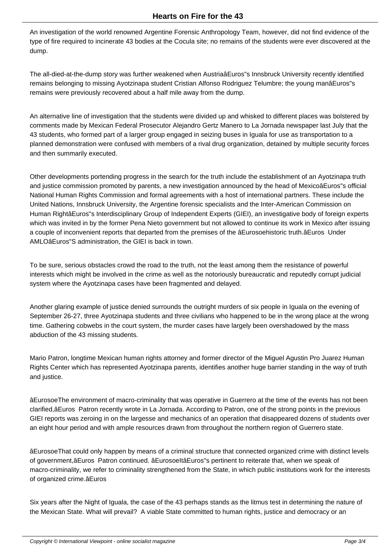An investigation of the world renowned Argentine Forensic Anthropology Team, however, did not find evidence of the type of fire required to incinerate 43 bodies at the Cocula site; no remains of the students were ever discovered at the dump.

The all-died-at-the-dump story was further weakened when AustriaâEuros"s Innsbruck University recently identified remains belonging to missing Ayotzinapa student Cristian Alfonso Rodriguez Telumbre; the young manâEuros"s remains were previously recovered about a half mile away from the dump.

An alternative line of investigation that the students were divided up and whisked to different places was bolstered by comments made by Mexican Federal Prosecutor Alejandro Gertz Manero to La Jornada newspaper last July that the 43 students, who formed part of a larger group engaged in seizing buses in Iguala for use as transportation to a planned demonstration were confused with members of a rival drug organization, detained by multiple security forces and then summarily executed.

Other developments portending progress in the search for the truth include the establishment of an Ayotzinapa truth and justice commission promoted by parents, a new investigation announced by the head of MexicoâEuros"s official National Human Rights Commission and formal agreements with a host of international partners. These include the United Nations, Innsbruck University, the Argentine forensic specialists and the Inter-American Commission on Human RightâEuros"s Interdisciplinary Group of Independent Experts (GIEI), an investigative body of foreign experts which was invited in by the former Pena Nieto government but not allowed to continue its work in Mexico after issuing a couple of inconvenient reports that departed from the premises of the âEurosoehistoric truth.âEuros Under AMLOâEuros"S administration, the GIEI is back in town.

To be sure, serious obstacles crowd the road to the truth, not the least among them the resistance of powerful interests which might be involved in the crime as well as the notoriously bureaucratic and reputedly corrupt judicial system where the Ayotzinapa cases have been fragmented and delayed.

Another glaring example of justice denied surrounds the outright murders of six people in Iguala on the evening of September 26-27, three Ayotzinapa students and three civilians who happened to be in the wrong place at the wrong time. Gathering cobwebs in the court system, the murder cases have largely been overshadowed by the mass abduction of the 43 missing students.

Mario Patron, longtime Mexican human rights attorney and former director of the Miguel Agustin Pro Juarez Human Rights Center which has represented Ayotzinapa parents, identifies another huge barrier standing in the way of truth and justice.

âEurosoeThe environment of macro-criminality that was operative in Guerrero at the time of the events has not been clarified,âEuros Patron recently wrote in La Jornada. According to Patron, one of the strong points in the previous GIEI reports was zeroing in on the largesse and mechanics of an operation that disappeared dozens of students over an eight hour period and with ample resources drawn from throughout the northern region of Guerrero state.

âEurosoeThat could only happen by means of a criminal structure that connected organized crime with distinct levels of government,âEuros Patron continued. âEurosoeItâEuros"s pertinent to reiterate that, when we speak of macro-criminality, we refer to criminality strengthened from the State, in which public institutions work for the interests of organized crime.âEuros

Six years after the Night of Iguala, the case of the 43 perhaps stands as the litmus test in determining the nature of the Mexican State. What will prevail? A viable State committed to human rights, justice and democracy or an